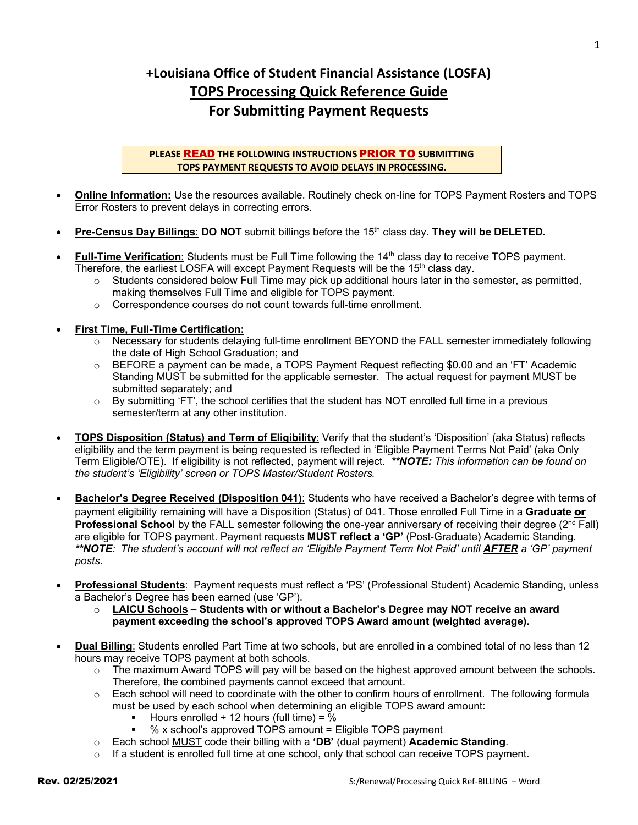## **+Louisiana Office of Student Financial Assistance (LOSFA) TOPS Processing Quick Reference Guide For Submitting Payment Requests**

**PLEASE** READ **THE FOLLOWING INSTRUCTIONS** PRIOR TO **SUBMITTING TOPS PAYMENT REQUESTS TO AVOID DELAYS IN PROCESSING.**

- **Online Information:** Use the resources available. Routinely check on-line for TOPS Payment Rosters and TOPS Error Rosters to prevent delays in correcting errors.
- **Pre-Census Day Billings**: **DO NOT** submit billings before the 15th class day. **They will be DELETED.**
- Full-Time Verification: Students must be Full Time following the 14<sup>th</sup> class day to receive TOPS payment. Therefore, the earliest LOSFA will except Payment Requests will be the 15th class day.
	- $\circ$  Students considered below Full Time may pick up additional hours later in the semester, as permitted, making themselves Full Time and eligible for TOPS payment.
	- o Correspondence courses do not count towards full-time enrollment.

## • **First Time, Full-Time Certification:**

- o Necessary for students delaying full-time enrollment BEYOND the FALL semester immediately following the date of High School Graduation; and
- $\circ$  BEFORE a payment can be made, a TOPS Payment Request reflecting \$0.00 and an 'FT' Academic Standing MUST be submitted for the applicable semester. The actual request for payment MUST be submitted separately; and
- $\circ$  By submitting 'FT', the school certifies that the student has NOT enrolled full time in a previous semester/term at any other institution.
- **TOPS Disposition (Status) and Term of Eligibility**: Verify that the student's 'Disposition' (aka Status) reflects eligibility and the term payment is being requested is reflected in 'Eligible Payment Terms Not Paid' (aka Only Term Eligible/OTE). If eligibility is not reflected, payment will reject. *\*\*NOTE: This information can be found on the student's 'Eligibility' screen or TOPS Master/Student Rosters.*
- **Bachelor's Degree Received (Disposition 041)**: Students who have received a Bachelor's degree with terms of payment eligibility remaining will have a Disposition (Status) of 041. Those enrolled Full Time in a **Graduate** or **Professional School** by the FALL semester following the one-year anniversary of receiving their degree (2<sup>nd</sup> Fall) are eligible for TOPS payment. Payment requests **MUST reflect a 'GP'** (Post-Graduate) Academic Standing. \*\*NOTE: The student's account will not reflect an 'Eligible Payment Term Not Paid' until **AFTER** a 'GP' payment *posts.*
- **Professional Students**: Payment requests must reflect a 'PS' (Professional Student) Academic Standing, unless a Bachelor's Degree has been earned (use 'GP').
	- o **LAICU Schools – Students with or without a Bachelor's Degree may NOT receive an award payment exceeding the school's approved TOPS Award amount (weighted average).**
- **Dual Billing**: Students enrolled Part Time at two schools, but are enrolled in a combined total of no less than 12 hours may receive TOPS payment at both schools.
	- $\circ$  The maximum Award TOPS will pay will be based on the highest approved amount between the schools. Therefore, the combined payments cannot exceed that amount.
	- o Each school will need to coordinate with the other to confirm hours of enrollment. The following formula must be used by each school when determining an eligible TOPS award amount:
		- Hours enrolled  $\div$  12 hours (full time) = %
		- § % x school's approved TOPS amount = Eligible TOPS payment
	- o Each school MUST code their billing with a **'DB'** (dual payment) **Academic Standing**.
	- $\circ$  If a student is enrolled full time at one school, only that school can receive TOPS payment.